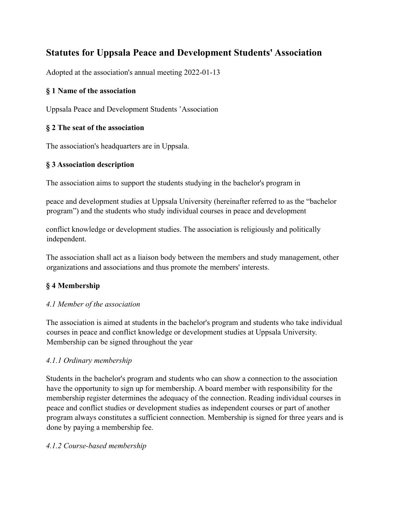# **Statutes for Uppsala Peace and Development Students' Association**

Adopted at the association's annual meeting 2022-01-13

# **§ 1 Name of the association**

Uppsala Peace and Development Students 'Association

### **§ 2 The seat of the association**

The association's headquarters are in Uppsala.

# **§ 3 Association description**

The association aims to support the students studying in the bachelor's program in

peace and development studies at Uppsala University (hereinafter referred to as the "bachelor program") and the students who study individual courses in peace and development

conflict knowledge or development studies. The association is religiously and politically independent.

The association shall act as a liaison body between the members and study management, other organizations and associations and thus promote the members' interests.

# **§ 4 Membership**

# *4.1 Member of the association*

The association is aimed at students in the bachelor's program and students who take individual courses in peace and conflict knowledge or development studies at Uppsala University. Membership can be signed throughout the year

# *4.1.1 Ordinary membership*

Students in the bachelor's program and students who can show a connection to the association have the opportunity to sign up for membership. A board member with responsibility for the membership register determines the adequacy of the connection. Reading individual courses in peace and conflict studies or development studies as independent courses or part of another program always constitutes a sufficient connection. Membership is signed for three years and is done by paying a membership fee.

#### *4.1.2 Course-based membership*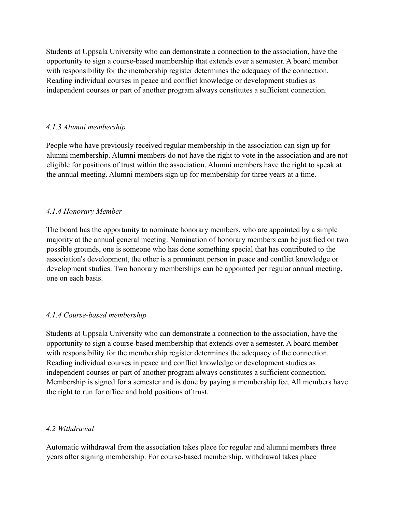Students at Uppsala University who can demonstrate a connection to the association, have the opportunity to sign a course-based membership that extends over a semester. A board member with responsibility for the membership register determines the adequacy of the connection. Reading individual courses in peace and conflict knowledge or development studies as independent courses or part of another program always constitutes a sufficient connection.

#### *4.1.3 Alumni membership*

People who have previously received regular membership in the association can sign up for alumni membership. Alumni members do not have the right to vote in the association and are not eligible for positions of trust within the association. Alumni members have the right to speak at the annual meeting. Alumni members sign up for membership for three years at a time.

#### *4.1.4 Honorary Member*

The board has the opportunity to nominate honorary members, who are appointed by a simple majority at the annual general meeting. Nomination of honorary members can be justified on two possible grounds, one is someone who has done something special that has contributed to the association's development, the other is a prominent person in peace and conflict knowledge or development studies. Two honorary memberships can be appointed per regular annual meeting, one on each basis.

#### *4.1.4 Course-based membership*

Students at Uppsala University who can demonstrate a connection to the association, have the opportunity to sign a course-based membership that extends over a semester. A board member with responsibility for the membership register determines the adequacy of the connection. Reading individual courses in peace and conflict knowledge or development studies as independent courses or part of another program always constitutes a sufficient connection. Membership is signed for a semester and is done by paying a membership fee. All members have the right to run for office and hold positions of trust.

#### *4.2 Withdrawal*

Automatic withdrawal from the association takes place for regular and alumni members three years after signing membership. For course-based membership, withdrawal takes place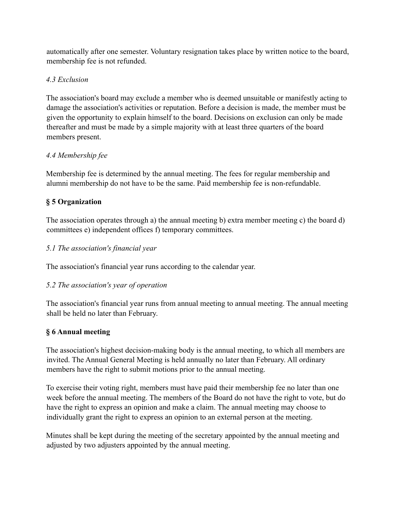automatically after one semester. Voluntary resignation takes place by written notice to the board, membership fee is not refunded.

# *4.3 Exclusion*

The association's board may exclude a member who is deemed unsuitable or manifestly acting to damage the association's activities or reputation. Before a decision is made, the member must be given the opportunity to explain himself to the board. Decisions on exclusion can only be made thereafter and must be made by a simple majority with at least three quarters of the board members present.

# *4.4 Membership fee*

Membership fee is determined by the annual meeting. The fees for regular membership and alumni membership do not have to be the same. Paid membership fee is non-refundable.

# **§ 5 Organization**

The association operates through a) the annual meeting b) extra member meeting c) the board d) committees e) independent offices f) temporary committees.

# *5.1 The association's financial year*

The association's financial year runs according to the calendar year.

# *5.2 The association's year of operation*

The association's financial year runs from annual meeting to annual meeting. The annual meeting shall be held no later than February.

# **§ 6 Annual meeting**

The association's highest decision-making body is the annual meeting, to which all members are invited. The Annual General Meeting is held annually no later than February. All ordinary members have the right to submit motions prior to the annual meeting.

To exercise their voting right, members must have paid their membership fee no later than one week before the annual meeting. The members of the Board do not have the right to vote, but do have the right to express an opinion and make a claim. The annual meeting may choose to individually grant the right to express an opinion to an external person at the meeting.

Minutes shall be kept during the meeting of the secretary appointed by the annual meeting and adjusted by two adjusters appointed by the annual meeting.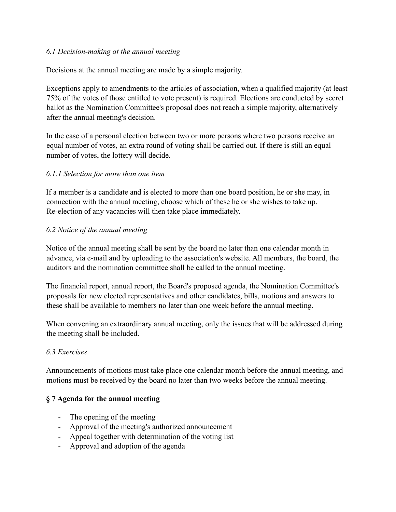#### *6.1 Decision-making at the annual meeting*

Decisions at the annual meeting are made by a simple majority.

Exceptions apply to amendments to the articles of association, when a qualified majority (at least 75% of the votes of those entitled to vote present) is required. Elections are conducted by secret ballot as the Nomination Committee's proposal does not reach a simple majority, alternatively after the annual meeting's decision.

In the case of a personal election between two or more persons where two persons receive an equal number of votes, an extra round of voting shall be carried out. If there is still an equal number of votes, the lottery will decide.

### *6.1.1 Selection for more than one item*

If a member is a candidate and is elected to more than one board position, he or she may, in connection with the annual meeting, choose which of these he or she wishes to take up. Re-election of any vacancies will then take place immediately.

### *6.2 Notice of the annual meeting*

Notice of the annual meeting shall be sent by the board no later than one calendar month in advance, via e-mail and by uploading to the association's website. All members, the board, the auditors and the nomination committee shall be called to the annual meeting.

The financial report, annual report, the Board's proposed agenda, the Nomination Committee's proposals for new elected representatives and other candidates, bills, motions and answers to these shall be available to members no later than one week before the annual meeting.

When convening an extraordinary annual meeting, only the issues that will be addressed during the meeting shall be included.

# *6.3 Exercises*

Announcements of motions must take place one calendar month before the annual meeting, and motions must be received by the board no later than two weeks before the annual meeting.

# **§ 7 Agenda for the annual meeting**

- The opening of the meeting
- Approval of the meeting's authorized announcement
- Appeal together with determination of the voting list
- Approval and adoption of the agenda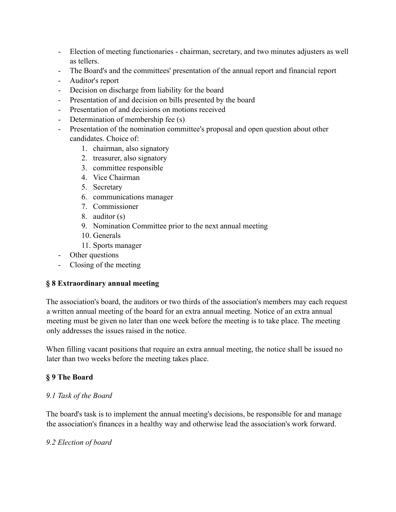- Election of meeting functionaries chairman, secretary, and two minutes adjusters as well as tellers.
- The Board's and the committees' presentation of the annual report and financial report
- Auditor's report
- Decision on discharge from liability for the board
- Presentation of and decision on bills presented by the board
- Presentation of and decisions on motions received
- Determination of membership fee (s)
- Presentation of the nomination committee's proposal and open question about other candidates. Choice of:
	- 1. chairman, also signatory
	- 2. treasurer, also signatory
	- 3. committee responsible
	- 4. Vice Chairman
	- 5. Secretary
	- 6. communications manager
	- 7. Commissioner
	- 8. auditor (s)
	- 9. Nomination Committee prior to the next annual meeting
	- 10. Generals
	- 11. Sports manager
- Other questions
- Closing of the meeting

# **§ 8 Extraordinary annual meeting**

The association's board, the auditors or two thirds of the association's members may each request a written annual meeting of the board for an extra annual meeting. Notice of an extra annual meeting must be given no later than one week before the meeting is to take place. The meeting only addresses the issues raised in the notice.

When filling vacant positions that require an extra annual meeting, the notice shall be issued no later than two weeks before the meeting takes place.

# **§ 9 The Board**

#### *9.1 Task of the Board*

The board's task is to implement the annual meeting's decisions, be responsible for and manage the association's finances in a healthy way and otherwise lead the association's work forward.

#### *9.2 Election of board*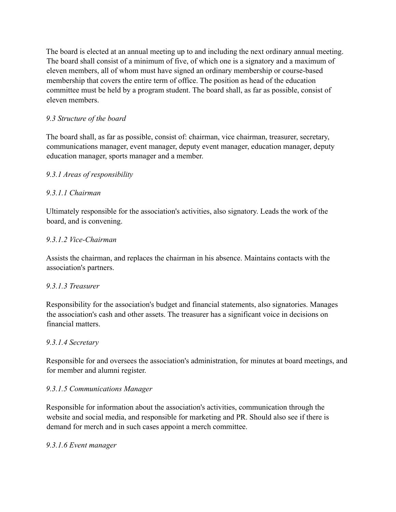The board is elected at an annual meeting up to and including the next ordinary annual meeting. The board shall consist of a minimum of five, of which one is a signatory and a maximum of eleven members, all of whom must have signed an ordinary membership or course-based membership that covers the entire term of office. The position as head of the education committee must be held by a program student. The board shall, as far as possible, consist of eleven members.

# *9.3 Structure of the board*

The board shall, as far as possible, consist of: chairman, vice chairman, treasurer, secretary, communications manager, event manager, deputy event manager, education manager, deputy education manager, sports manager and a member.

# *9.3.1 Areas of responsibility*

# *9.3.1.1 Chairman*

Ultimately responsible for the association's activities, also signatory. Leads the work of the board, and is convening.

# *9.3.1.2 Vice-Chairman*

Assists the chairman, and replaces the chairman in his absence. Maintains contacts with the association's partners.

# *9.3.1.3 Treasurer*

Responsibility for the association's budget and financial statements, also signatories. Manages the association's cash and other assets. The treasurer has a significant voice in decisions on financial matters.

# *9.3.1.4 Secretary*

Responsible for and oversees the association's administration, for minutes at board meetings, and for member and alumni register.

#### *9.3.1.5 Communications Manager*

Responsible for information about the association's activities, communication through the website and social media, and responsible for marketing and PR. Should also see if there is demand for merch and in such cases appoint a merch committee.

#### *9.3.1.6 Event manager*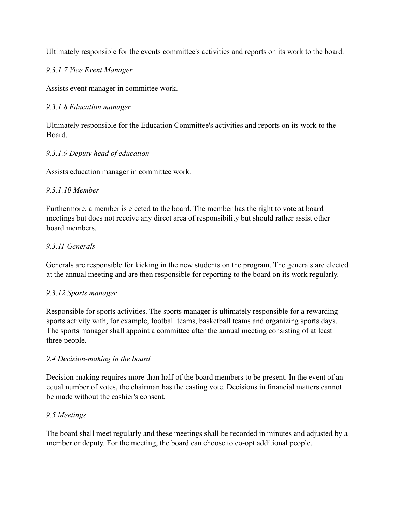Ultimately responsible for the events committee's activities and reports on its work to the board.

*9.3.1.7 Vice Event Manager*

Assists event manager in committee work.

#### *9.3.1.8 Education manager*

Ultimately responsible for the Education Committee's activities and reports on its work to the Board.

### *9.3.1.9 Deputy head of education*

Assists education manager in committee work.

### *9.3.1.10 Member*

Furthermore, a member is elected to the board. The member has the right to vote at board meetings but does not receive any direct area of responsibility but should rather assist other board members.

### *9.3.11 Generals*

Generals are responsible for kicking in the new students on the program. The generals are elected at the annual meeting and are then responsible for reporting to the board on its work regularly.

#### *9.3.12 Sports manager*

Responsible for sports activities. The sports manager is ultimately responsible for a rewarding sports activity with, for example, football teams, basketball teams and organizing sports days. The sports manager shall appoint a committee after the annual meeting consisting of at least three people.

# *9.4 Decision-making in the board*

Decision-making requires more than half of the board members to be present. In the event of an equal number of votes, the chairman has the casting vote. Decisions in financial matters cannot be made without the cashier's consent.

#### *9.5 Meetings*

The board shall meet regularly and these meetings shall be recorded in minutes and adjusted by a member or deputy. For the meeting, the board can choose to co-opt additional people.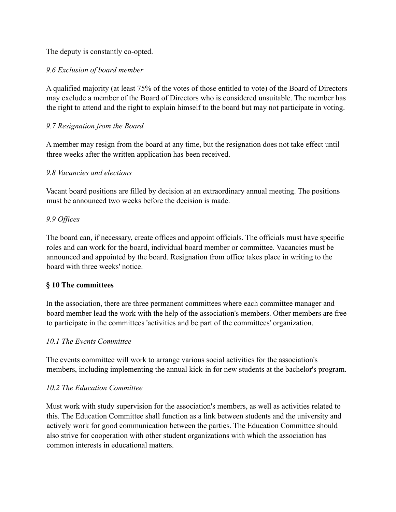The deputy is constantly co-opted.

# *9.6 Exclusion of board member*

A qualified majority (at least 75% of the votes of those entitled to vote) of the Board of Directors may exclude a member of the Board of Directors who is considered unsuitable. The member has the right to attend and the right to explain himself to the board but may not participate in voting.

### *9.7 Resignation from the Board*

A member may resign from the board at any time, but the resignation does not take effect until three weeks after the written application has been received.

### *9.8 Vacancies and elections*

Vacant board positions are filled by decision at an extraordinary annual meeting. The positions must be announced two weeks before the decision is made.

### *9.9 Offices*

The board can, if necessary, create offices and appoint officials. The officials must have specific roles and can work for the board, individual board member or committee. Vacancies must be announced and appointed by the board. Resignation from office takes place in writing to the board with three weeks' notice.

#### **§ 10 The committees**

In the association, there are three permanent committees where each committee manager and board member lead the work with the help of the association's members. Other members are free to participate in the committees 'activities and be part of the committees' organization.

#### *10.1 The Events Committee*

The events committee will work to arrange various social activities for the association's members, including implementing the annual kick-in for new students at the bachelor's program.

#### *10.2 The Education Committee*

Must work with study supervision for the association's members, as well as activities related to this. The Education Committee shall function as a link between students and the university and actively work for good communication between the parties. The Education Committee should also strive for cooperation with other student organizations with which the association has common interests in educational matters.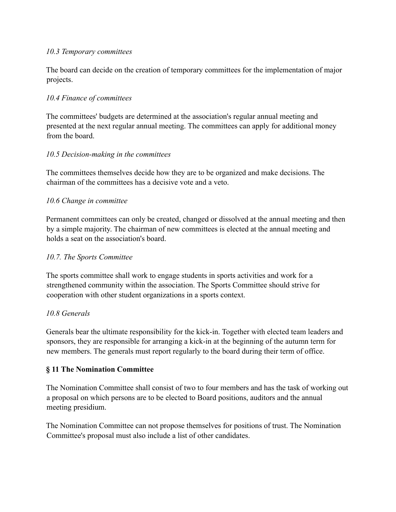#### *10.3 Temporary committees*

The board can decide on the creation of temporary committees for the implementation of major projects.

#### *10.4 Finance of committees*

The committees' budgets are determined at the association's regular annual meeting and presented at the next regular annual meeting. The committees can apply for additional money from the board.

### *10.5 Decision-making in the committees*

The committees themselves decide how they are to be organized and make decisions. The chairman of the committees has a decisive vote and a veto.

### *10.6 Change in committee*

Permanent committees can only be created, changed or dissolved at the annual meeting and then by a simple majority. The chairman of new committees is elected at the annual meeting and holds a seat on the association's board.

#### *10.7. The Sports Committee*

The sports committee shall work to engage students in sports activities and work for a strengthened community within the association. The Sports Committee should strive for cooperation with other student organizations in a sports context.

#### *10.8 Generals*

Generals bear the ultimate responsibility for the kick-in. Together with elected team leaders and sponsors, they are responsible for arranging a kick-in at the beginning of the autumn term for new members. The generals must report regularly to the board during their term of office.

#### **§ 11 The Nomination Committee**

The Nomination Committee shall consist of two to four members and has the task of working out a proposal on which persons are to be elected to Board positions, auditors and the annual meeting presidium.

The Nomination Committee can not propose themselves for positions of trust. The Nomination Committee's proposal must also include a list of other candidates.